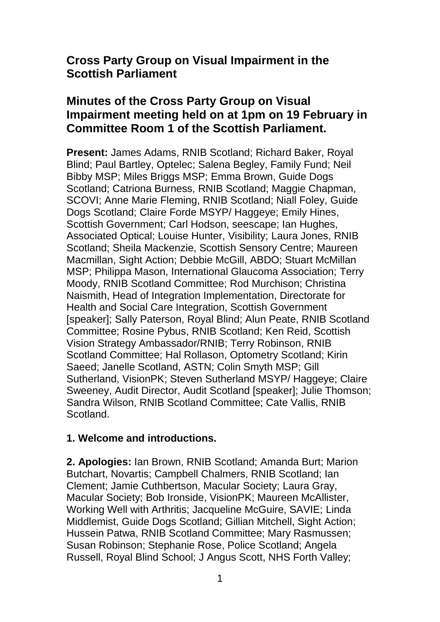# **Cross Party Group on Visual Impairment in the Scottish Parliament**

# **Minutes of the Cross Party Group on Visual Impairment meeting held on at 1pm on 19 February in Committee Room 1 of the Scottish Parliament.**

**Present:** James Adams, RNIB Scotland; Richard Baker, Royal Blind; Paul Bartley, Optelec; Salena Begley, Family Fund; Neil Bibby MSP; Miles Briggs MSP; Emma Brown, Guide Dogs Scotland; Catriona Burness, RNIB Scotland; Maggie Chapman, SCOVI; Anne Marie Fleming, RNIB Scotland; Niall Foley, Guide Dogs Scotland; Claire Forde MSYP/ Haggeye; Emily Hines, Scottish Government; Carl Hodson, seescape; Ian Hughes, Associated Optical; Louise Hunter, Visibility; Laura Jones, RNIB Scotland; Sheila Mackenzie, Scottish Sensory Centre; Maureen Macmillan, Sight Action; Debbie McGill, ABDO; Stuart McMillan MSP; Philippa Mason, International Glaucoma Association; Terry Moody, RNIB Scotland Committee; Rod Murchison; Christina Naismith, Head of Integration Implementation, Directorate for Health and Social Care Integration, Scottish Government [speaker]; Sally Paterson, Royal Blind; Alun Peate, RNIB Scotland Committee; Rosine Pybus, RNIB Scotland; Ken Reid, Scottish Vision Strategy Ambassador/RNIB; Terry Robinson, RNIB Scotland Committee; Hal Rollason, Optometry Scotland; Kirin Saeed; Janelle Scotland, ASTN; Colin Smyth MSP; Gill Sutherland, VisionPK; Steven Sutherland MSYP/ Haggeve; Claire Sweeney, Audit Director, Audit Scotland [speaker]; Julie Thomson; Sandra Wilson, RNIB Scotland Committee; Cate Vallis, RNIB Scotland.

## **1. Welcome and introductions.**

**2. Apologies:** Ian Brown, RNIB Scotland; Amanda Burt; Marion Butchart, Novartis; Campbell Chalmers, RNIB Scotland; Ian Clement; Jamie Cuthbertson, Macular Society; Laura Gray, Macular Society; Bob Ironside, VisionPK; Maureen McAllister, Working Well with Arthritis; Jacqueline McGuire, SAVIE; Linda Middlemist, Guide Dogs Scotland; Gillian Mitchell, Sight Action; Hussein Patwa, RNIB Scotland Committee; Mary Rasmussen; Susan Robinson; Stephanie Rose, Police Scotland; Angela Russell, Royal Blind School; J Angus Scott, NHS Forth Valley;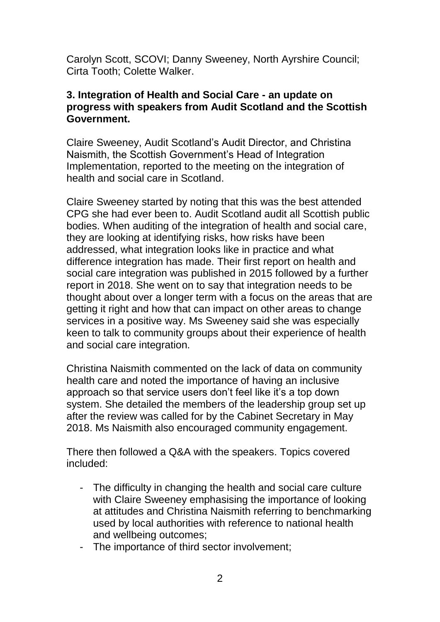Carolyn Scott, SCOVI; Danny Sweeney, North Ayrshire Council; Cirta Tooth; Colette Walker.

#### **3. Integration of Health and Social Care - an update on progress with speakers from Audit Scotland and the Scottish Government.**

Claire Sweeney, Audit Scotland's Audit Director, and Christina Naismith, the Scottish Government's Head of Integration Implementation, reported to the meeting on the integration of health and social care in Scotland.

Claire Sweeney started by noting that this was the best attended CPG she had ever been to. Audit Scotland audit all Scottish public bodies. When auditing of the integration of health and social care, they are looking at identifying risks, how risks have been addressed, what integration looks like in practice and what difference integration has made. Their first report on health and social care integration was published in 2015 followed by a further report in 2018. She went on to say that integration needs to be thought about over a longer term with a focus on the areas that are getting it right and how that can impact on other areas to change services in a positive way. Ms Sweeney said she was especially keen to talk to community groups about their experience of health and social care integration.

Christina Naismith commented on the lack of data on community health care and noted the importance of having an inclusive approach so that service users don't feel like it's a top down system. She detailed the members of the leadership group set up after the review was called for by the Cabinet Secretary in May 2018. Ms Naismith also encouraged community engagement.

There then followed a Q&A with the speakers. Topics covered included:

- The difficulty in changing the health and social care culture with Claire Sweeney emphasising the importance of looking at attitudes and Christina Naismith referring to benchmarking used by local authorities with reference to national health and wellbeing outcomes;
- The importance of third sector involvement;